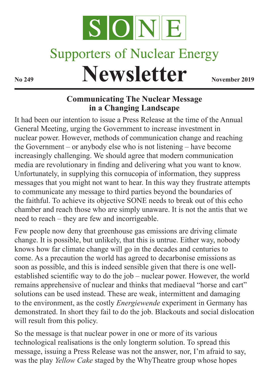

## **Supporters of Nuclear Energy**

**Newsletter No 249 Newsletter** 

## **Communicating The Nuclear Message in a Changing Landscape**

It had been our intention to issue a Press Release at the time of the Annual General Meeting, urging the Government to increase investment in nuclear power. However, methods of communication change and reaching the Government – or anybody else who is not listening – have become increasingly challenging. We should agree that modern communication media are revolutionary in finding and delivering what you want to know. Unfortunately, in supplying this cornucopia of information, they suppress messages that you might not want to hear. In this way they frustrate attempts to communicate any message to third parties beyond the boundaries of the faithful. To achieve its objective SONE needs to break out of this echo chamber and reach those who are simply unaware. It is not the antis that we need to reach – they are few and incorrigeable.

Few people now deny that greenhouse gas emissions are driving climate change. It is possible, but unlikely, that this is untrue. Either way, nobody knows how far climate change will go in the decades and centuries to come. As a precaution the world has agreed to decarbonise emissions as soon as possible, and this is indeed sensible given that there is one wellestablished scientific way to do the job – nuclear power. However, the world remains apprehensive of nuclear and thinks that mediaeval "horse and cart" solutions can be used instead. These are weak, intermittent and damaging to the environment, as the costly *Energiewende* experiment in Germany has demonstrated. In short they fail to do the job. Blackouts and social dislocation will result from this policy.

So the message is that nuclear power in one or more of its various technological realisations is the only longterm solution. To spread this message, issuing a Press Release was not the answer, nor, I'm afraid to say, was the play *Yellow Cake* staged by the WhyTheatre group whose hopes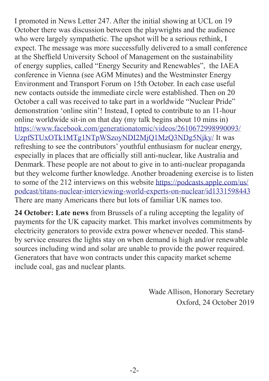I promoted in News Letter 247. After the initial showing at UCL on 19 October there was discussion between the playwrights and the audience who were largely sympathetic. The upshot will be a serious rethink, I expect. The message was more successfully delivered to a small conference at the Sheffield University School of Management on the sustainability of energy supplies, called "Energy Security and Renewables", the IAEA conference in Vienna (see AGM Minutes) and the Westminster Energy Environment and Transport Forum on 15th October. In each case useful new contacts outside the immediate circle were established. Then on 20 October a call was received to take part in a worldwide "Nuclear Pride" demonstration 'online sitin'! Instead, I opted to contribute to an 11-hour online worldwide sit-in on that day (my talk begins about 10 mins in) [https://www.facebook.com/generationatomic/videos/2610672998990093/](https://www.facebook.com/generationatomic/videos/2610672998990093/UzpfSTUxOTk1MTg1NTpWSzoyNDI2MjQ1MzQ3NDg5Njky/?multi_permalinks=2426245347489692¬if_id=1571570081416945¬if_t=group_activity) [UzpfSTUxOTk1MTg1NTpWSzoyNDI2MjQ1MzQ3NDg5Njky/](https://www.facebook.com/generationatomic/videos/2610672998990093/UzpfSTUxOTk1MTg1NTpWSzoyNDI2MjQ1MzQ3NDg5Njky/?multi_permalinks=2426245347489692¬if_id=1571570081416945¬if_t=group_activity) It was refreshing to see the contributors' youthful enthusiasm for nuclear energy, especially in places that are officially still anti-nuclear, like Australia and Denmark. These people are not about to give in to anti-nuclear propaganda but they welcome further knowledge. Another broadening exercise is to listen to some of the 212 interviews on this website [https://podcasts.apple.com/us/](https://podcasts.apple.com/us/podcast/titans-nuclear-interviewing-world-experts-on-nuclear/id1331598443) [podcast/titans-nuclear-interviewing-world-experts-on-nuclear/id1331598443](https://podcasts.apple.com/us/podcast/titans-nuclear-interviewing-world-experts-on-nuclear/id1331598443) There are many Americans there but lots of familiar UK names too.

**24 October: Late news** from Brussels of a ruling accepting the legality of payments for the UK capacity market. This market involves commitments by electricity generators to provide extra power whenever needed. This standby service ensures the lights stay on when demand is high and/or renewable sources including wind and solar are unable to provide the power required. Generators that have won contracts under this capacity market scheme include coal, gas and nuclear plants.

> Wade Allison, Honorary Secretary Oxford, 24 October 2019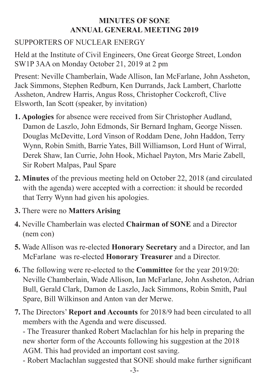## **MINUTES OF SONE ANNUAL GENERAL MEETING 2019**

## SUPPORTERS OF NUCLEAR ENERGY

Held at the Institute of Civil Engineers, One Great George Street, London SW1P 3AA on Monday October 21, 2019 at 2 pm

Present: Neville Chamberlain, Wade Allison, Ian McFarlane, John Assheton, Jack Simmons, Stephen Redburn, Ken Durrands, Jack Lambert, Charlotte Assheton, Andrew Harris, Angus Ross, Christopher Cockcroft, Clive Elsworth, Ian Scott (speaker, by invitation)

- **1. Apologies** for absence were received from Sir Christopher Audland, Damon de Laszlo, John Edmonds, Sir Bernard Ingham, George Nissen. Douglas McDevitte, Lord Vinson of Roddam Dene, John Haddon, Terry Wynn, Robin Smith, Barrie Yates, Bill Williamson, Lord Hunt of Wirral, Derek Shaw, Ian Currie, John Hook, Michael Payton, Mrs Marie Zabell, Sir Robert Malpas, Paul Spare
- **2. Minutes** of the previous meeting held on October 22, 2018 (and circulated with the agenda) were accepted with a correction: it should be recorded that Terry Wynn had given his apologies.
- **3.** There were no **Matters Arising**
- **4.** Neville Chamberlain was elected **Chairman of SONE** and a Director (nem con)
- **5.** Wade Allison was re-elected **Honorary Secretary** and a Director, and Ian McFarlane was re-elected **Honorary Treasurer** and a Director.
- **6.** The following were re-elected to the **Committee** for the year 2019/20: Neville Chamberlain, Wade Allison, Ian McFarlane, John Assheton, Adrian Bull, Gerald Clark, Damon de Laszlo, Jack Simmons, Robin Smith, Paul Spare, Bill Wilkinson and Anton van der Merwe.
- **7.** The Directors' **Report and Accounts** for 2018/9 had been circulated to all members with the Agenda and were discussed.

- The Treasurer thanked Robert Maclachlan for his help in preparing the new shorter form of the Accounts following his suggestion at the 2018 AGM. This had provided an important cost saving.

- Robert Maclachlan suggested that SONE should make further significant